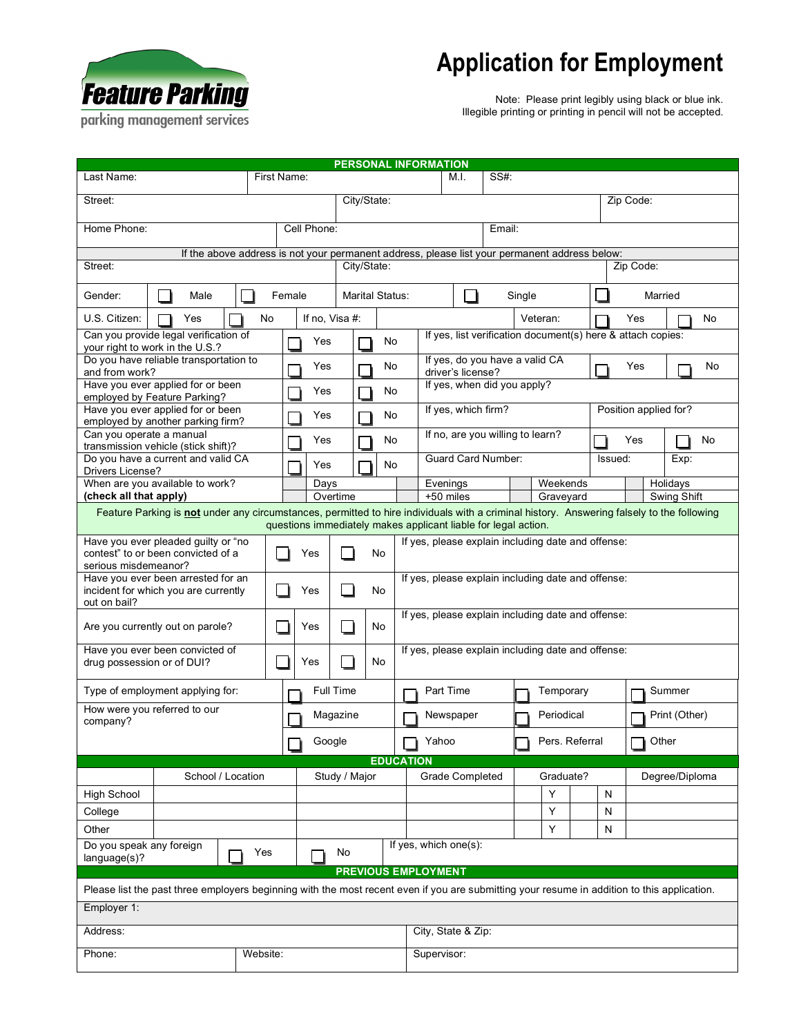

## **Application for Employment**

Note: Please print legibly using black or blue ink. Illegible printing or printing in pencil will not be accepted.

parking management services

|                                                                                                                                                            |      |             |  |                           |                                                                                               | PERSONAL INFORMATION                                           |   |                                                                                                                                                                                    |          |      |                       |               |         |                |    |      |          |  |
|------------------------------------------------------------------------------------------------------------------------------------------------------------|------|-------------|--|---------------------------|-----------------------------------------------------------------------------------------------|----------------------------------------------------------------|---|------------------------------------------------------------------------------------------------------------------------------------------------------------------------------------|----------|------|-----------------------|---------------|---------|----------------|----|------|----------|--|
| Last Name:                                                                                                                                                 |      | First Name: |  |                           |                                                                                               |                                                                |   |                                                                                                                                                                                    | M.I.     | SS#: |                       |               |         |                |    |      |          |  |
| Street:                                                                                                                                                    |      |             |  | City/State:               |                                                                                               |                                                                |   |                                                                                                                                                                                    |          |      |                       | Zip Code:     |         |                |    |      |          |  |
| Home Phone:                                                                                                                                                |      |             |  | Cell Phone:               |                                                                                               |                                                                |   | Email:                                                                                                                                                                             |          |      |                       |               |         |                |    |      |          |  |
|                                                                                                                                                            |      |             |  |                           | If the above address is not your permanent address, please list your permanent address below: |                                                                |   |                                                                                                                                                                                    |          |      |                       |               |         |                |    |      |          |  |
| Street:                                                                                                                                                    |      |             |  | City/State:               |                                                                                               |                                                                |   |                                                                                                                                                                                    |          |      |                       | Zip Code:     |         |                |    |      |          |  |
| Gender:                                                                                                                                                    | Male |             |  | Marital Status:<br>Female |                                                                                               |                                                                |   | Single                                                                                                                                                                             |          |      |                       |               | Married |                |    |      |          |  |
| U.S. Citizen:                                                                                                                                              | Yes  | No          |  | If no, Visa #:            |                                                                                               |                                                                |   | Veteran:<br>If yes, list verification document(s) here & attach copies:                                                                                                            |          |      |                       | Yes<br>No     |         |                |    |      |          |  |
| Can you provide legal verification of<br>your right to work in the U.S.?                                                                                   |      |             |  | Yes                       |                                                                                               | No                                                             |   |                                                                                                                                                                                    |          |      |                       |               |         |                |    |      |          |  |
| Do you have reliable transportation to<br>and from work?                                                                                                   |      |             |  | Yes                       |                                                                                               | No                                                             |   | If yes, do you have a valid CA<br>driver's license?                                                                                                                                |          |      |                       | Yes           |         |                | No |      |          |  |
| Have you ever applied for or been                                                                                                                          |      |             |  | Yes                       |                                                                                               | No                                                             |   | If yes, when did you apply?                                                                                                                                                        |          |      |                       |               |         |                |    |      |          |  |
| employed by Feature Parking?<br>Have you ever applied for or been                                                                                          |      |             |  |                           |                                                                                               |                                                                |   | If yes, which firm?                                                                                                                                                                |          |      | Position applied for? |               |         |                |    |      |          |  |
| employed by another parking firm?<br>Can you operate a manual                                                                                              |      |             |  | Yes<br>No                 |                                                                                               |                                                                |   | If no, are you willing to learn?                                                                                                                                                   |          |      |                       |               |         |                |    |      |          |  |
| transmission vehicle (stick shift)?                                                                                                                        |      |             |  | Yes                       | No                                                                                            |                                                                |   |                                                                                                                                                                                    |          |      |                       | Yes           |         |                |    | No   |          |  |
| Do you have a current and valid CA<br>Drivers License?                                                                                                     |      |             |  | Yes                       |                                                                                               | No                                                             |   | <b>Guard Card Number:</b>                                                                                                                                                          |          |      |                       |               | Issued: |                |    | Exp: |          |  |
| When are you available to work?                                                                                                                            |      |             |  | Days                      |                                                                                               |                                                                |   |                                                                                                                                                                                    | Evenings |      |                       | Weekends      |         |                |    |      | Holidays |  |
| (check all that apply)                                                                                                                                     |      |             |  | Overtime                  |                                                                                               |                                                                |   | Swing Shift<br>+50 miles<br>Graveyard<br>Feature Parking is not under any circumstances, permitted to hire individuals with a criminal history. Answering falsely to the following |          |      |                       |               |         |                |    |      |          |  |
|                                                                                                                                                            |      |             |  |                           |                                                                                               | questions immediately makes applicant liable for legal action. |   |                                                                                                                                                                                    |          |      |                       |               |         |                |    |      |          |  |
| Have you ever pleaded guilty or "no<br>contest" to or been convicted of a<br>serious misdemeanor?                                                          |      |             |  | No<br>Yes                 |                                                                                               |                                                                |   | If yes, please explain including date and offense:                                                                                                                                 |          |      |                       |               |         |                |    |      |          |  |
| Have you ever been arrested for an<br>incident for which you are currently<br>out on bail?                                                                 |      |             |  | Yes<br>No                 |                                                                                               |                                                                |   | If yes, please explain including date and offense:                                                                                                                                 |          |      |                       |               |         |                |    |      |          |  |
| Are you currently out on parole?                                                                                                                           |      |             |  | No<br>Yes                 |                                                                                               |                                                                |   | If yes, please explain including date and offense:                                                                                                                                 |          |      |                       |               |         |                |    |      |          |  |
| Have you ever been convicted of<br>drug possession or of DUI?                                                                                              |      |             |  | Yes<br>No                 |                                                                                               |                                                                |   | If yes, please explain including date and offense:                                                                                                                                 |          |      |                       |               |         |                |    |      |          |  |
| Type of employment applying for:                                                                                                                           |      |             |  | Full Time                 |                                                                                               |                                                                |   | Part Time                                                                                                                                                                          |          |      | Temporary             |               | Summer  |                |    |      |          |  |
| How were you referred to our<br>company?                                                                                                                   |      |             |  | Magazine                  |                                                                                               |                                                                |   | Periodical<br>Newspaper                                                                                                                                                            |          |      |                       | Print (Other) |         |                |    |      |          |  |
|                                                                                                                                                            |      |             |  | Google                    |                                                                                               |                                                                | ॼ | ¶ Yahoo<br>Pers. Referral                                                                                                                                                          |          |      |                       | Other         |         |                |    |      |          |  |
|                                                                                                                                                            |      |             |  |                           |                                                                                               | <b>EDUCATION</b>                                               |   |                                                                                                                                                                                    |          |      |                       |               |         |                |    |      |          |  |
| School / Location                                                                                                                                          |      |             |  | Study / Major             |                                                                                               |                                                                |   | <b>Grade Completed</b>                                                                                                                                                             |          |      | Graduate?             |               |         | Degree/Diploma |    |      |          |  |
| <b>High School</b>                                                                                                                                         |      |             |  |                           |                                                                                               |                                                                |   |                                                                                                                                                                                    |          |      |                       | Y             |         | N              |    |      |          |  |
| College                                                                                                                                                    |      |             |  |                           |                                                                                               |                                                                |   |                                                                                                                                                                                    |          |      |                       | Y             |         | N              |    |      |          |  |
| Other                                                                                                                                                      |      |             |  |                           |                                                                                               |                                                                |   |                                                                                                                                                                                    |          |      |                       | Y             |         | N              |    |      |          |  |
| Do you speak any foreign<br>Yes<br>language(s)?                                                                                                            |      |             |  |                           | No                                                                                            | If yes, which one(s):                                          |   |                                                                                                                                                                                    |          |      |                       |               |         |                |    |      |          |  |
| <b>PREVIOUS EMPLOYMENT</b>                                                                                                                                 |      |             |  |                           |                                                                                               |                                                                |   |                                                                                                                                                                                    |          |      |                       |               |         |                |    |      |          |  |
| Please list the past three employers beginning with the most recent even if you are submitting your resume in addition to this application.<br>Employer 1: |      |             |  |                           |                                                                                               |                                                                |   |                                                                                                                                                                                    |          |      |                       |               |         |                |    |      |          |  |
|                                                                                                                                                            |      |             |  |                           |                                                                                               |                                                                |   |                                                                                                                                                                                    |          |      |                       |               |         |                |    |      |          |  |
| Address:                                                                                                                                                   |      |             |  |                           |                                                                                               |                                                                |   | City, State & Zip:                                                                                                                                                                 |          |      |                       |               |         |                |    |      |          |  |
| Phone:<br>Website:                                                                                                                                         |      |             |  |                           |                                                                                               |                                                                |   | Supervisor:                                                                                                                                                                        |          |      |                       |               |         |                |    |      |          |  |